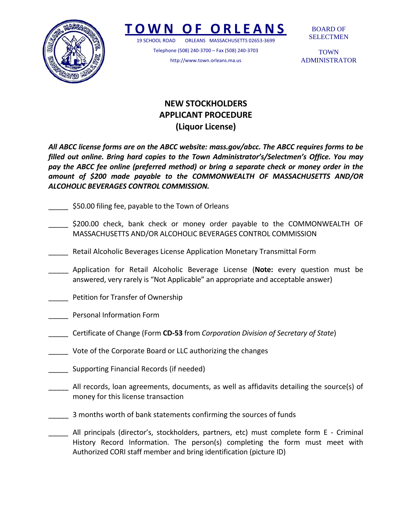

## **TOWN O F ORLEANS**

19 SCHOOL ROAD ORLEANS MASSACHUSETTS 02653‐3699

Telephone (508) 240‐3700 – Fax (508) 240‐3703 http://www.town.orleans.ma.us

BOARD OF SELECTMEN

**TOWN** ADMINISTRATOR

## **NEW STOCKHOLDERS APPLICANT PROCEDURE (Liquor License)**

*All ABCC license forms are on the ABCC website: mass.gov/abcc. The ABCC requires forms to be filled out online. Bring hard copies to the Town Administrator's/Selectmen's Office. You may pay the ABCC fee online (preferred method) or bring a separate check or money order in the amount of \$200 made payable to the COMMONWEALTH OF MASSACHUSETTS AND/OR ALCOHOLIC BEVERAGES CONTROL COMMISSION.*

- \$50.00 filing fee, payable to the Town of Orleans
- \$200.00 check, bank check or money order payable to the COMMONWEALTH OF MASSACHUSETTS AND/OR ALCOHOLIC BEVERAGES CONTROL COMMISSION
- \_\_\_\_\_ Retail Alcoholic Beverages License Application Monetary Transmittal Form
- \_\_\_\_\_ Application for Retail Alcoholic Beverage License (**Note:** every question must be answered, very rarely is "Not Applicable" an appropriate and acceptable answer)
- \_\_\_\_\_ Petition for Transfer of Ownership
- \_\_\_\_\_ Personal Information Form
- \_\_\_\_\_ Certificate of Change (Form **CD‐53** from *Corporation Division of Secretary of State*)
- Vote of the Corporate Board or LLC authorizing the changes
- \_\_\_\_\_ Supporting Financial Records (if needed)
- All records, loan agreements, documents, as well as affidavits detailing the source(s) of money for this license transaction
- \_\_\_\_\_ 3 months worth of bank statements confirming the sources of funds
- \_\_\_\_\_ All principals (director's, stockholders, partners, etc) must complete form E ‐ Criminal History Record Information. The person(s) completing the form must meet with Authorized CORI staff member and bring identification (picture ID)